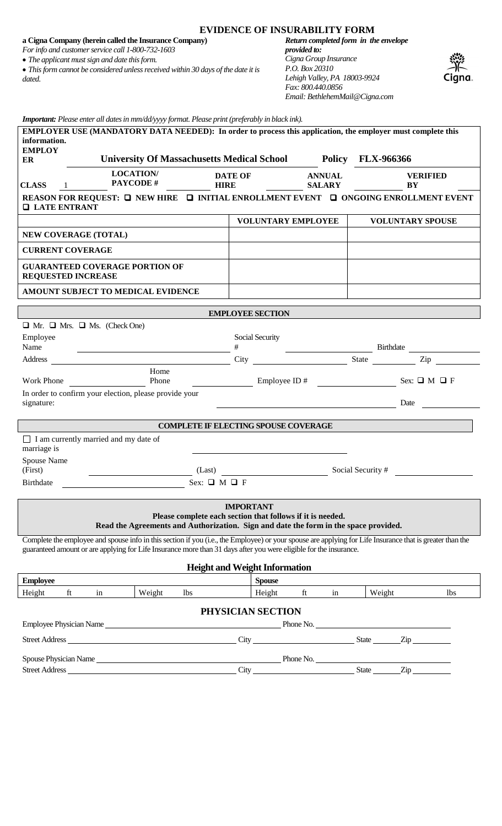| a Cigna Company (herein called the Insurance Company)<br>For info and customer service call 1-800-732-1603<br>• The applicant must sign and date this form.<br>• This form cannot be considered unless received within 30 days of the date it is<br>dated.                     |                                                                |                         | <b>EVIDENCE OF INSURABILITY FORM</b><br>Return completed form in the envelope<br>provided to:<br>Cigna Group Insurance<br>P.O. Box 20310<br>Lehigh Valley, PA 18003-9924<br>Fax: 800.440.0856<br>Email: BethlehemMail@Cigna.com |                                |                                  | .igna.                  |
|--------------------------------------------------------------------------------------------------------------------------------------------------------------------------------------------------------------------------------------------------------------------------------|----------------------------------------------------------------|-------------------------|---------------------------------------------------------------------------------------------------------------------------------------------------------------------------------------------------------------------------------|--------------------------------|----------------------------------|-------------------------|
| Important: Please enter all dates in mm/dd/yyyy format. Please print (preferably in black ink).                                                                                                                                                                                |                                                                |                         |                                                                                                                                                                                                                                 |                                |                                  |                         |
| <b>EMPLOYER USE (MANDATORY DATA NEEDED):</b> In order to process this application, the employer must complete this<br>information.<br><b>EMPLOY</b>                                                                                                                            |                                                                |                         |                                                                                                                                                                                                                                 |                                |                                  |                         |
| ER                                                                                                                                                                                                                                                                             | <b>University Of Massachusetts Medical School</b><br>LOCATION/ | <b>DATE OF</b>          |                                                                                                                                                                                                                                 | <b>Policy</b><br><b>ANNUAL</b> | <b>FLX-966366</b>                | <b>VERIFIED</b>         |
| <b>CLASS</b><br>-1                                                                                                                                                                                                                                                             | PAYCODE#                                                       | <b>HIRE</b>             |                                                                                                                                                                                                                                 | <b>SALARY</b>                  |                                  | BY                      |
| REASON FOR REQUEST: □ NEW HIRE □ INITIAL ENROLLMENT EVENT □ ONGOING ENROLLMENT EVENT<br><b>Q LATE ENTRANT</b>                                                                                                                                                                  |                                                                |                         |                                                                                                                                                                                                                                 |                                |                                  |                         |
|                                                                                                                                                                                                                                                                                |                                                                |                         |                                                                                                                                                                                                                                 | <b>VOLUNTARY EMPLOYEE</b>      |                                  | <b>VOLUNTARY SPOUSE</b> |
| <b>NEW COVERAGE (TOTAL)</b>                                                                                                                                                                                                                                                    |                                                                |                         |                                                                                                                                                                                                                                 |                                |                                  |                         |
| <b>CURRENT COVERAGE</b>                                                                                                                                                                                                                                                        |                                                                |                         |                                                                                                                                                                                                                                 |                                |                                  |                         |
| <b>GUARANTEED COVERAGE PORTION OF</b><br><b>REQUESTED INCREASE</b>                                                                                                                                                                                                             |                                                                |                         |                                                                                                                                                                                                                                 |                                |                                  |                         |
| AMOUNT SUBJECT TO MEDICAL EVIDENCE                                                                                                                                                                                                                                             |                                                                |                         |                                                                                                                                                                                                                                 |                                |                                  |                         |
|                                                                                                                                                                                                                                                                                |                                                                | <b>EMPLOYEE SECTION</b> |                                                                                                                                                                                                                                 |                                |                                  |                         |
| $\Box$ Mr. $\Box$ Mrs. $\Box$ Ms. (Check One)                                                                                                                                                                                                                                  |                                                                |                         |                                                                                                                                                                                                                                 |                                |                                  |                         |
| Employee                                                                                                                                                                                                                                                                       |                                                                |                         | Social Security                                                                                                                                                                                                                 |                                |                                  |                         |
| Name<br>Address                                                                                                                                                                                                                                                                |                                                                | #<br>City               |                                                                                                                                                                                                                                 |                                | <b>Birthdate</b><br><b>State</b> | Zip                     |
|                                                                                                                                                                                                                                                                                | Home                                                           |                         |                                                                                                                                                                                                                                 |                                |                                  |                         |
| <b>Work Phone</b>                                                                                                                                                                                                                                                              | Phone                                                          |                         | Employee ID#                                                                                                                                                                                                                    |                                |                                  | Sex: $\Box$ M $\Box$ F  |
| In order to confirm your election, please provide your<br>signature:                                                                                                                                                                                                           |                                                                |                         |                                                                                                                                                                                                                                 |                                |                                  | Date                    |
| <b>COMPLETE IF ELECTING SPOUSE COVERAGE</b>                                                                                                                                                                                                                                    |                                                                |                         |                                                                                                                                                                                                                                 |                                |                                  |                         |
| $\Box$ I am currently married and my date of                                                                                                                                                                                                                                   |                                                                |                         |                                                                                                                                                                                                                                 |                                |                                  |                         |
| marriage is<br>Spouse Name                                                                                                                                                                                                                                                     |                                                                |                         |                                                                                                                                                                                                                                 |                                |                                  |                         |
| (First)                                                                                                                                                                                                                                                                        | $(Last)$ Social Security #                                     |                         |                                                                                                                                                                                                                                 |                                |                                  |                         |
| <b>Birthdate</b>                                                                                                                                                                                                                                                               |                                                                | Sex: $\Box$ M $\Box$ F  |                                                                                                                                                                                                                                 |                                |                                  |                         |
| <b>IMPORTANT</b><br>Please complete each section that follows if it is needed.<br>Read the Agreements and Authorization. Sign and date the form in the space provided.                                                                                                         |                                                                |                         |                                                                                                                                                                                                                                 |                                |                                  |                         |
| Complete the employee and spouse info in this section if you (i.e., the Employee) or your spouse are applying for Life Insurance that is greater than the<br>guaranteed amount or are applying for Life Insurance more than 31 days after you were eligible for the insurance. |                                                                |                         |                                                                                                                                                                                                                                 |                                |                                  |                         |
| <b>Height and Weight Information</b>                                                                                                                                                                                                                                           |                                                                |                         |                                                                                                                                                                                                                                 |                                |                                  |                         |
| <b>Employee</b>                                                                                                                                                                                                                                                                |                                                                |                         | <b>Spouse</b>                                                                                                                                                                                                                   |                                |                                  |                         |
| Height<br>$ft$ and $rt$<br>in                                                                                                                                                                                                                                                  | Weight                                                         | lbs                     | Height                                                                                                                                                                                                                          | $ft$ and $rt$<br>$\sin \theta$ | Weight                           | lbs.                    |
| PHYSICIAN SECTION                                                                                                                                                                                                                                                              |                                                                |                         |                                                                                                                                                                                                                                 |                                |                                  |                         |
|                                                                                                                                                                                                                                                                                |                                                                |                         |                                                                                                                                                                                                                                 |                                |                                  |                         |
|                                                                                                                                                                                                                                                                                |                                                                |                         |                                                                                                                                                                                                                                 |                                |                                  |                         |
|                                                                                                                                                                                                                                                                                |                                                                |                         |                                                                                                                                                                                                                                 |                                | State <u>Zip</u>                 |                         |

### **EVIDENCE OF INSURABILITY FORM**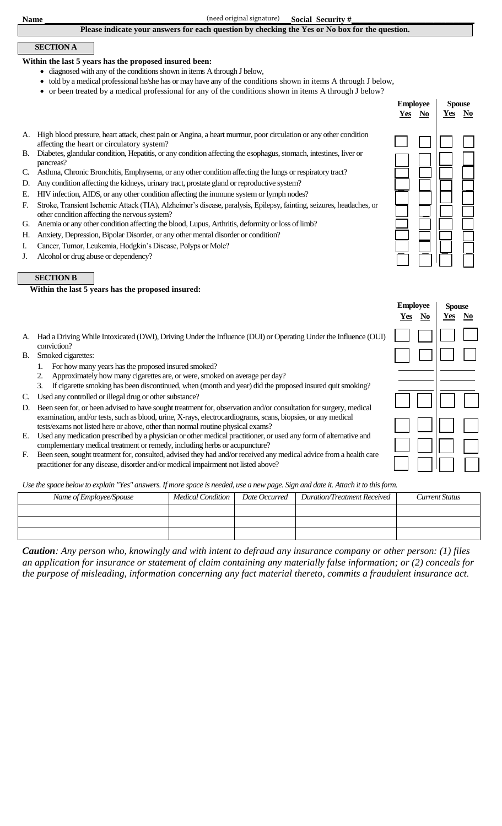## **Please indicate your answers for each question by checking the Yes or No box for the question.**

### **SECTION A**

# **Within the last 5 years has the proposed insured been:**

- diagnosed with any of the conditions shown in items A through J below,
- told by a medical professional he/she has or may have any of the conditions shown in items A through J below,
- or been treated by a medical professional for any of the conditions shown in items A through J below?
- **Employee Yes No Spouse Yes No** A. High blood pressure, heart attack, chest pain or Angina, a heart murmur, poor circulation or any other condition affecting the heart or circulatory system? B. Diabetes, glandular condition, Hepatitis, or any condition affecting the esophagus, stomach, intestines, liver or pancreas? C. Asthma, Chronic Bronchitis, Emphysema, or any other condition affecting the lungs or respiratory tract? D. Any condition affecting the kidneys, urinary tract, prostate gland or reproductive system? E. HIV infection, AIDS, or any other condition affecting the immune system or lymph nodes? F. Stroke, Transient Ischemic Attack (TIA), Alzheimer's disease, paralysis, Epilepsy, fainting, seizures, headaches, or other condition affecting the nervous system? G. Anemia or any other condition affecting the blood, Lupus, Arthritis, deformity or loss of limb? H. Anxiety, Depression, Bipolar Disorder, or any other mental disorder or condition?
- I. Cancer, Tumor, Leukemia, Hodgkin's Disease, Polyps or Mole?
- J. Alcohol or drug abuse or dependency?

## **SECTION B**

#### **Within the last 5 years has the proposed insured:**

|    |                                                                                                                                                                                                          | <b>Employee</b><br>Yes | N <sub>0</sub> | <b>Spouse</b><br>Yes | N <sub>0</sub> |
|----|----------------------------------------------------------------------------------------------------------------------------------------------------------------------------------------------------------|------------------------|----------------|----------------------|----------------|
| А. | Had a Driving While Intoxicated (DWI), Driving Under the Influence (DUI) or Operating Under the Influence (OUI)<br>conviction?                                                                           |                        |                |                      |                |
| B. | Smoked cigarettes:<br>For how many years has the proposed insured smoked?                                                                                                                                |                        |                |                      |                |
|    | Approximately how many cigarettes are, or were, smoked on average per day?<br>3.<br>If cigarette smoking has been discontinued, when (month and year) did the proposed insured quit smoking?             |                        |                |                      |                |
| C. | Used any controlled or illegal drug or other substance?                                                                                                                                                  |                        |                |                      |                |
| D. | Been seen for, or been advised to have sought treatment for, observation and/or consultation for surgery, medical                                                                                        |                        |                |                      |                |
|    | examination, and/or tests, such as blood, urine, X-rays, electrocardiograms, scans, biopsies, or any medical<br>tests/exams not listed here or above, other than normal routine physical exams?          |                        |                |                      |                |
| Е. | Used any medication prescribed by a physician or other medical practitioner, or used any form of alternative and<br>complementary medical treatment or remedy, including herbs or acupuncture?           |                        |                |                      |                |
| F. | Been seen, sought treatment for, consulted, advised they had and/or received any medical advice from a health care<br>practitioner for any disease, disorder and/or medical impairment not listed above? |                        |                |                      |                |

### *Use the space below to explain "Yes" answers. If more space is needed, use a new page. Sign and date it. Attach it to this form.*

| Name of Employee/Spouse | Medical Condition | Date Occurred | Duration/Treatment Received | Current Status |
|-------------------------|-------------------|---------------|-----------------------------|----------------|
|                         |                   |               |                             |                |
|                         |                   |               |                             |                |
|                         |                   |               |                             |                |

*Caution: Any person who, knowingly and with intent to defraud any insurance company or other person: (1) files an application for insurance or statement of claim containing any materially false information; or (2) conceals for the purpose of misleading, information concerning any fact material thereto, commits a fraudulent insurance act.* 

| <b>Yes</b> | <b>Employee</b><br>$\underline{\mathrm{No}}$ |  | <b>Spouse</b><br>$\underline{\mathrm{No}}$ |
|------------|----------------------------------------------|--|--------------------------------------------|
|            |                                              |  |                                            |